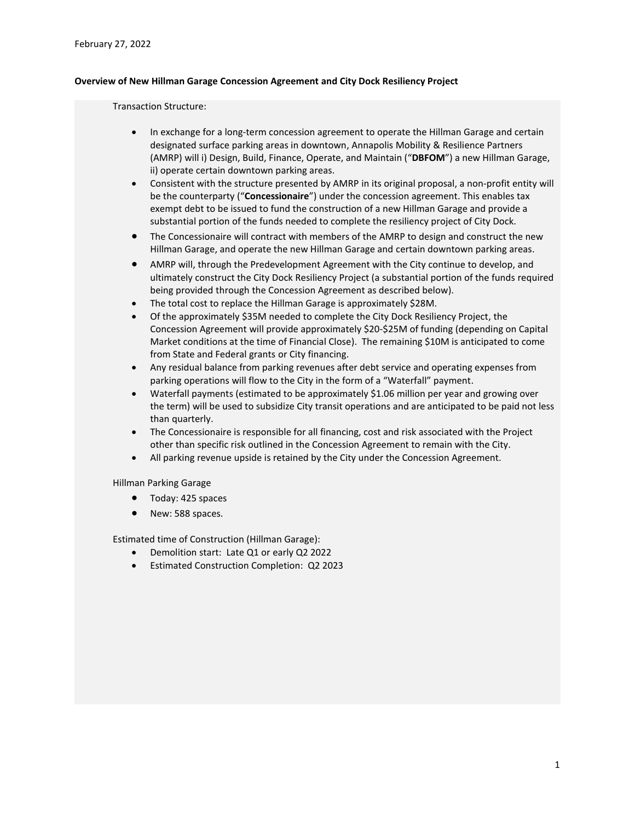## **Overview of New Hillman Garage Concession Agreement and City Dock Resiliency Project**

### Transaction Structure:

- In exchange for a long-term concession agreement to operate the Hillman Garage and certain designated surface parking areas in downtown, Annapolis Mobility & Resilience Partners (AMRP) will i) Design, Build, Finance, Operate, and Maintain ("**DBFOM**") a new Hillman Garage, ii) operate certain downtown parking areas.
- Consistent with the structure presented by AMRP in its original proposal, a non-profit entity will be the counterparty ("**Concessionaire**") under the concession agreement. This enables tax exempt debt to be issued to fund the construction of a new Hillman Garage and provide a substantial portion of the funds needed to complete the resiliency project of City Dock.
- The Concessionaire will contract with members of the AMRP to design and construct the new Hillman Garage, and operate the new Hillman Garage and certain downtown parking areas.
- AMRP will, through the Predevelopment Agreement with the City continue to develop, and ultimately construct the City Dock Resiliency Project (a substantial portion of the funds required being provided through the Concession Agreement as described below).
- The total cost to replace the Hillman Garage is approximately \$28M.
- Of the approximately \$35M needed to complete the City Dock Resiliency Project, the Concession Agreement will provide approximately \$20-\$25M of funding (depending on Capital Market conditions at the time of Financial Close). The remaining \$10M is anticipated to come from State and Federal grants or City financing.
- Any residual balance from parking revenues after debt service and operating expenses from parking operations will flow to the City in the form of a "Waterfall" payment.
- Waterfall payments (estimated to be approximately \$1.06 million per year and growing over the term) will be used to subsidize City transit operations and are anticipated to be paid not less than quarterly.
- The Concessionaire is responsible for all financing, cost and risk associated with the Project other than specific risk outlined in the Concession Agreement to remain with the City.
- All parking revenue upside is retained by the City under the Concession Agreement.

Hillman Parking Garage

- Today: 425 spaces
- New: 588 spaces.

Estimated time of Construction (Hillman Garage):

- Demolition start: Late Q1 or early Q2 2022
- Estimated Construction Completion: Q2 2023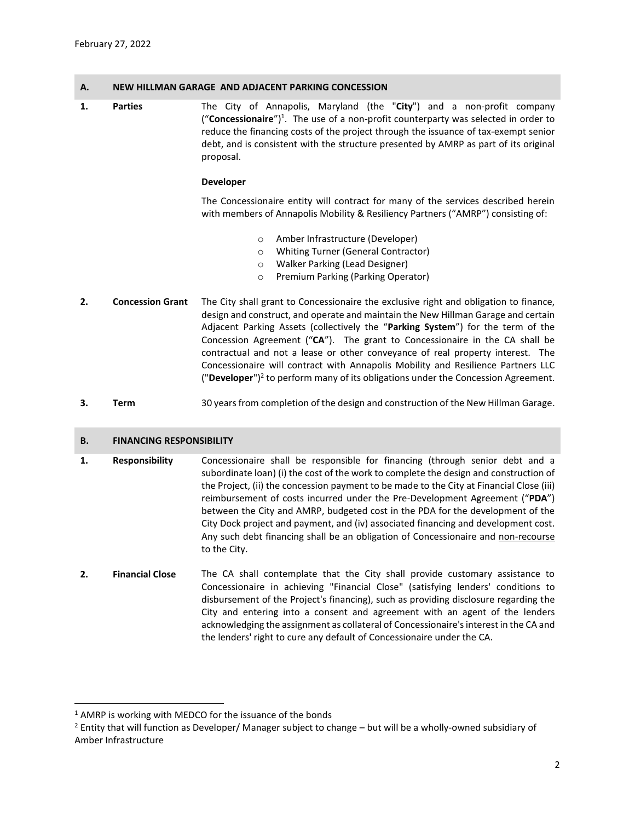# **A. NEW HILLMAN GARAGE AND ADJACENT PARKING CONCESSION**

**1. Parties** The City of Annapolis, Maryland (the "**City**") and a non-profit company ("Concessionaire")<sup>1</sup>. The use of a non-profit counterparty was selected in order to reduce the financing costs of the project through the issuance of tax-exempt senior debt, and is consistent with the structure presented by AMRP as part of its original proposal.

## **Developer**

The Concessionaire entity will contract for many of the services described herein with members of Annapolis Mobility & Resiliency Partners ("AMRP") consisting of:

- o Amber Infrastructure (Developer)
- o Whiting Turner (General Contractor)
- o Walker Parking (Lead Designer)
- o Premium Parking (Parking Operator)
- **2. Concession Grant** The City shall grant to Concessionaire the exclusive right and obligation to finance, design and construct, and operate and maintain the New Hillman Garage and certain Adjacent Parking Assets (collectively the "**Parking System**") for the term of the Concession Agreement ("**CA**"). The grant to Concessionaire in the CA shall be contractual and not a lease or other conveyance of real property interest. The Concessionaire will contract with Annapolis Mobility and Resilience Partners LLC ("Developer")<sup>2</sup> to perform many of its obligations under the Concession Agreement.
- **3. Term** 30 years from completion of the design and construction of the New Hillman Garage.

# **B. FINANCING RESPONSIBILITY**

- **1. Responsibility** Concessionaire shall be responsible for financing (through senior debt and a subordinate loan) (i) the cost of the work to complete the design and construction of the Project, (ii) the concession payment to be made to the City at Financial Close (iii) reimbursement of costs incurred under the Pre-Development Agreement ("**PDA**") between the City and AMRP, budgeted cost in the PDA for the development of the City Dock project and payment, and (iv) associated financing and development cost. Any such debt financing shall be an obligation of Concessionaire and non-recourse to the City.
- **2. Financial Close** The CA shall contemplate that the City shall provide customary assistance to Concessionaire in achieving "Financial Close" (satisfying lenders' conditions to disbursement of the Project's financing), such as providing disclosure regarding the City and entering into a consent and agreement with an agent of the lenders acknowledging the assignment as collateral of Concessionaire's interest in the CA and the lenders' right to cure any default of Concessionaire under the CA.

 $\overline{a}$ 

<sup>&</sup>lt;sup>1</sup> AMRP is working with MEDCO for the issuance of the bonds

<sup>&</sup>lt;sup>2</sup> Entity that will function as Developer/ Manager subject to change – but will be a wholly-owned subsidiary of Amber Infrastructure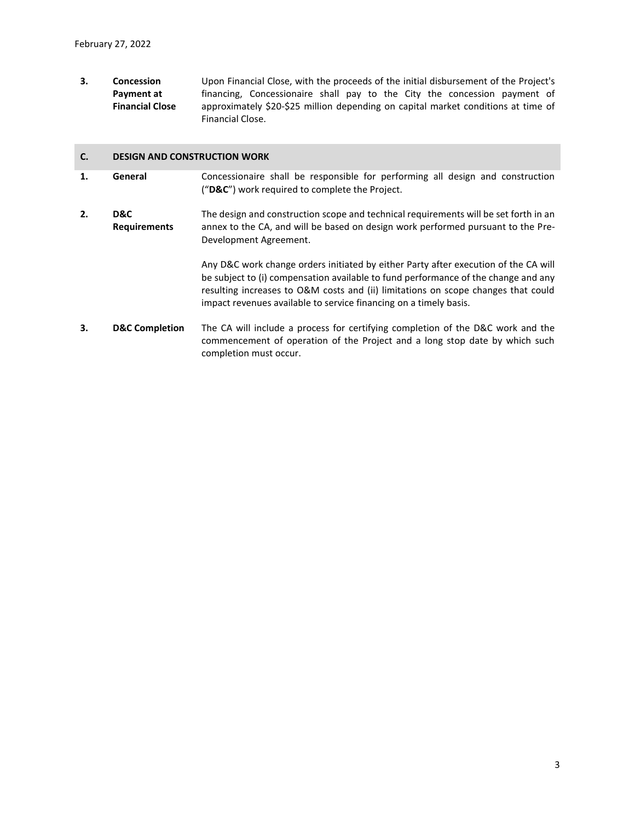**3. Concession Payment at Financial Close** Upon Financial Close, with the proceeds of the initial disbursement of the Project's financing, Concessionaire shall pay to the City the concession payment of approximately \$20-\$25 million depending on capital market conditions at time of Financial Close.

### **C. DESIGN AND CONSTRUCTION WORK**

- **1. General** Concessionaire shall be responsible for performing all design and construction ("**D&C**") work required to complete the Project.
- **2. D&C Requirements** The design and construction scope and technical requirements will be set forth in an annex to the CA, and will be based on design work performed pursuant to the Pre-Development Agreement.

Any D&C work change orders initiated by either Party after execution of the CA will be subject to (i) compensation available to fund performance of the change and any resulting increases to O&M costs and (ii) limitations on scope changes that could impact revenues available to service financing on a timely basis.

**3. D&C Completion** The CA will include a process for certifying completion of the D&C work and the commencement of operation of the Project and a long stop date by which such completion must occur.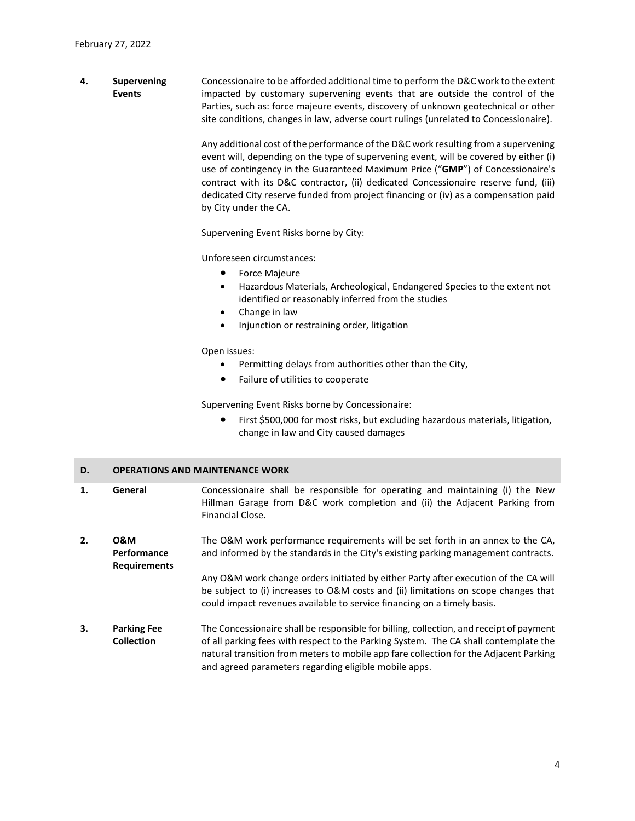**4. Supervening Events** Concessionaire to be afforded additional time to perform the D&C work to the extent impacted by customary supervening events that are outside the control of the Parties, such as: force majeure events, discovery of unknown geotechnical or other site conditions, changes in law, adverse court rulings (unrelated to Concessionaire).

> Any additional cost of the performance of the D&C work resulting from a supervening event will, depending on the type of supervening event, will be covered by either (i) use of contingency in the Guaranteed Maximum Price ("**GMP**") of Concessionaire's contract with its D&C contractor, (ii) dedicated Concessionaire reserve fund, (iii) dedicated City reserve funded from project financing or (iv) as a compensation paid by City under the CA.

Supervening Event Risks borne by City:

Unforeseen circumstances:

- **•** Force Majeure
- Hazardous Materials, Archeological, Endangered Species to the extent not identified or reasonably inferred from the studies
- Change in law
- Injunction or restraining order, litigation

### Open issues:

- Permitting delays from authorities other than the City,
- Failure of utilities to cooperate

Supervening Event Risks borne by Concessionaire:

 First \$500,000 for most risks, but excluding hazardous materials, litigation, change in law and City caused damages

### **D. OPERATIONS AND MAINTENANCE WORK**

- **1. General** Concessionaire shall be responsible for operating and maintaining (i) the New Hillman Garage from D&C work completion and (ii) the Adjacent Parking from Financial Close.
- **2. O&M Performance Requirements** The O&M work performance requirements will be set forth in an annex to the CA, and informed by the standards in the City's existing parking management contracts.

Any O&M work change orders initiated by either Party after execution of the CA will be subject to (i) increases to O&M costs and (ii) limitations on scope changes that could impact revenues available to service financing on a timely basis.

**3. Parking Fee Collection** The Concessionaire shall be responsible for billing, collection, and receipt of payment of all parking fees with respect to the Parking System. The CA shall contemplate the natural transition from meters to mobile app fare collection for the Adjacent Parking and agreed parameters regarding eligible mobile apps.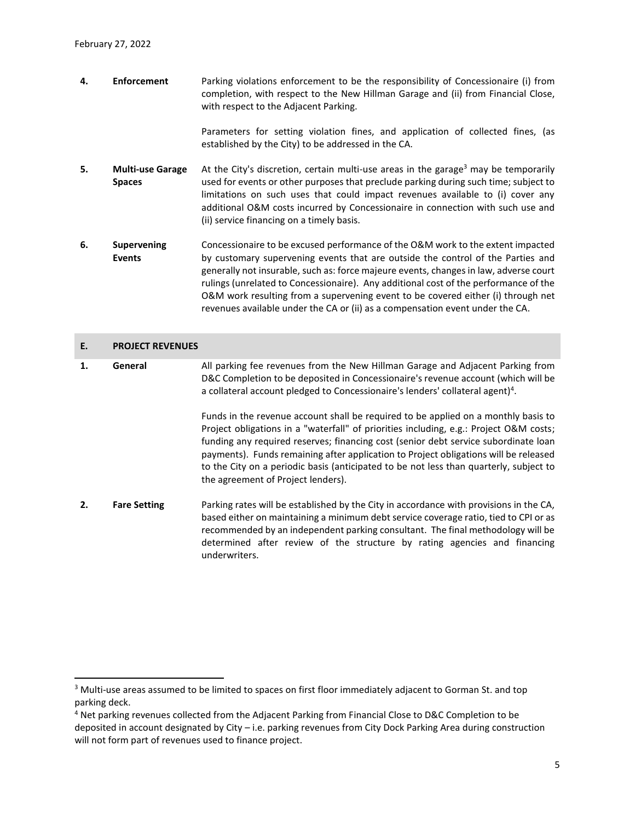**4. Enforcement** Parking violations enforcement to be the responsibility of Concessionaire (i) from completion, with respect to the New Hillman Garage and (ii) from Financial Close, with respect to the Adjacent Parking.

> Parameters for setting violation fines, and application of collected fines, (as established by the City) to be addressed in the CA.

- **5. Multi-use Garage Spaces** At the City's discretion, certain multi-use areas in the garage<sup>3</sup> may be temporarily used for events or other purposes that preclude parking during such time; subject to limitations on such uses that could impact revenues available to (i) cover any additional O&M costs incurred by Concessionaire in connection with such use and (ii) service financing on a timely basis.
- **6. Supervening Events** Concessionaire to be excused performance of the O&M work to the extent impacted by customary supervening events that are outside the control of the Parties and generally not insurable, such as: force majeure events, changes in law, adverse court rulings (unrelated to Concessionaire). Any additional cost of the performance of the O&M work resulting from a supervening event to be covered either (i) through net revenues available under the CA or (ii) as a compensation event under the CA.

### **E. PROJECT REVENUES**

 $\overline{a}$ 

**1. General** All parking fee revenues from the New Hillman Garage and Adjacent Parking from D&C Completion to be deposited in Concessionaire's revenue account (which will be a collateral account pledged to Concessionaire's lenders' collateral agent)<sup>4</sup>.

> Funds in the revenue account shall be required to be applied on a monthly basis to Project obligations in a "waterfall" of priorities including, e.g.: Project O&M costs; funding any required reserves; financing cost (senior debt service subordinate loan payments). Funds remaining after application to Project obligations will be released to the City on a periodic basis (anticipated to be not less than quarterly, subject to the agreement of Project lenders).

**2. Fare Setting** Parking rates will be established by the City in accordance with provisions in the CA, based either on maintaining a minimum debt service coverage ratio, tied to CPI or as recommended by an independent parking consultant. The final methodology will be determined after review of the structure by rating agencies and financing underwriters.

<sup>&</sup>lt;sup>3</sup> Multi-use areas assumed to be limited to spaces on first floor immediately adjacent to Gorman St. and top parking deck.

<sup>4</sup> Net parking revenues collected from the Adjacent Parking from Financial Close to D&C Completion to be deposited in account designated by City – i.e. parking revenues from City Dock Parking Area during construction will not form part of revenues used to finance project.